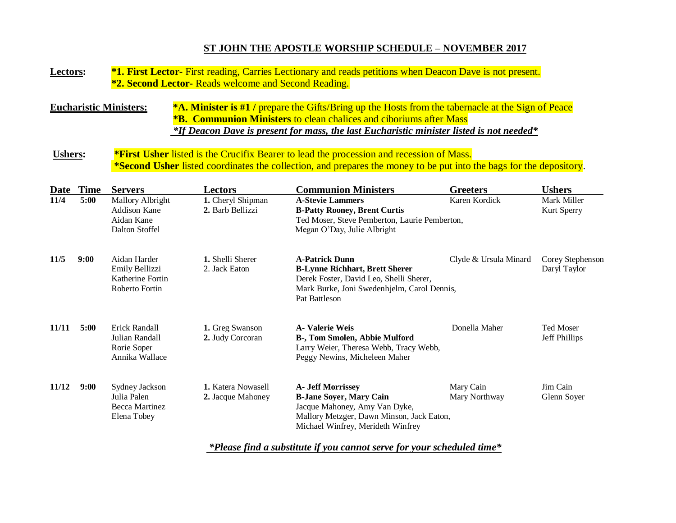## **ST JOHN THE APOSTLE WORSHIP SCHEDULE – NOVEMBER 2017**

## **Lectors: \*1. First Lector-** First reading, Carries Lectionary and reads petitions when Deacon Dave is not present.  **\*2. Second Lector-** Reads welcome and Second Reading. **Eucharistic Ministers: \*A. Minister is #1 /** prepare the Gifts/Bring up the Hosts from the tabernacle at the Sign of Peace  **\*B. Communion Ministers** to clean chalices and ciboriums after Mass  *\*If Deacon Dave is present for mass, the last Eucharistic minister listed is not needed\** **Ushers: \*First Usher** listed is the Crucifix Bearer to lead the procession and recession of Mass.  **\*Second Usher** listed coordinates the collection, and prepares the money to be put into the bags for the depository. **Date Time Servers Lectors Communion Ministers Greeters Ushers 11/4 5:00** Mallory Albright **1.** Cheryl Shipman **A-Stevie Lammers** Karen Kordick Mark Miller Addison Kane **2.** Barb Bellizzi **B-Patty Rooney, Brent Curtis** Kurt Sperry Aidan Kane Ted Moser, Steve Pemberton, Laurie Pemberton, Dalton Stoffel Megan O'Day, Julie Albright **11/5 9:00** Aidan Harder **1.** Shelli Sherer **A-Patrick Dunn** Clyde & Ursula Minard Corey Stephenson Emily Bellizzi 2. Jack Eaton **B-Lynne Richhart, Brett Sherer** Daryl Taylor Katherine Fortin Derek Foster, David Leo, Shelli Sherer, **Roberto Fortin Mark Burke, Joni Swedenhjelm, Carol Dennis,** Pat Battleson **11/11 5:00** Erick Randall **1.** Greg Swanson **A- Valerie Weis** Donella Maher Ted Moser Julian Randall **2.** Judy Corcoran **B-, Tom Smolen, Abbie Mulford** Jeff Phillips Rorie Soper Larry Weier, Theresa Webb, Tracy Webb, Annika Wallace Peggy Newins, Micheleen Maher **11/12 9:00** Sydney Jackson **1.** Katera Nowasell **A- Jeff Morrissey** Mary Cain Jim Cain Julia Palen **2.** Jacque Mahoney **B-Jane Soyer, Mary Cain** Mary Northway Glenn Soyer Becca Martinez **Internal Acceleration** Jacque Mahoney, Amy Van Dyke, Elena Tobey Mallory Metzger, Dawn Minson, Jack Eaton, Michael Winfrey, Merideth Winfrey

 *\*Please find a substitute if you cannot serve for your scheduled time\**